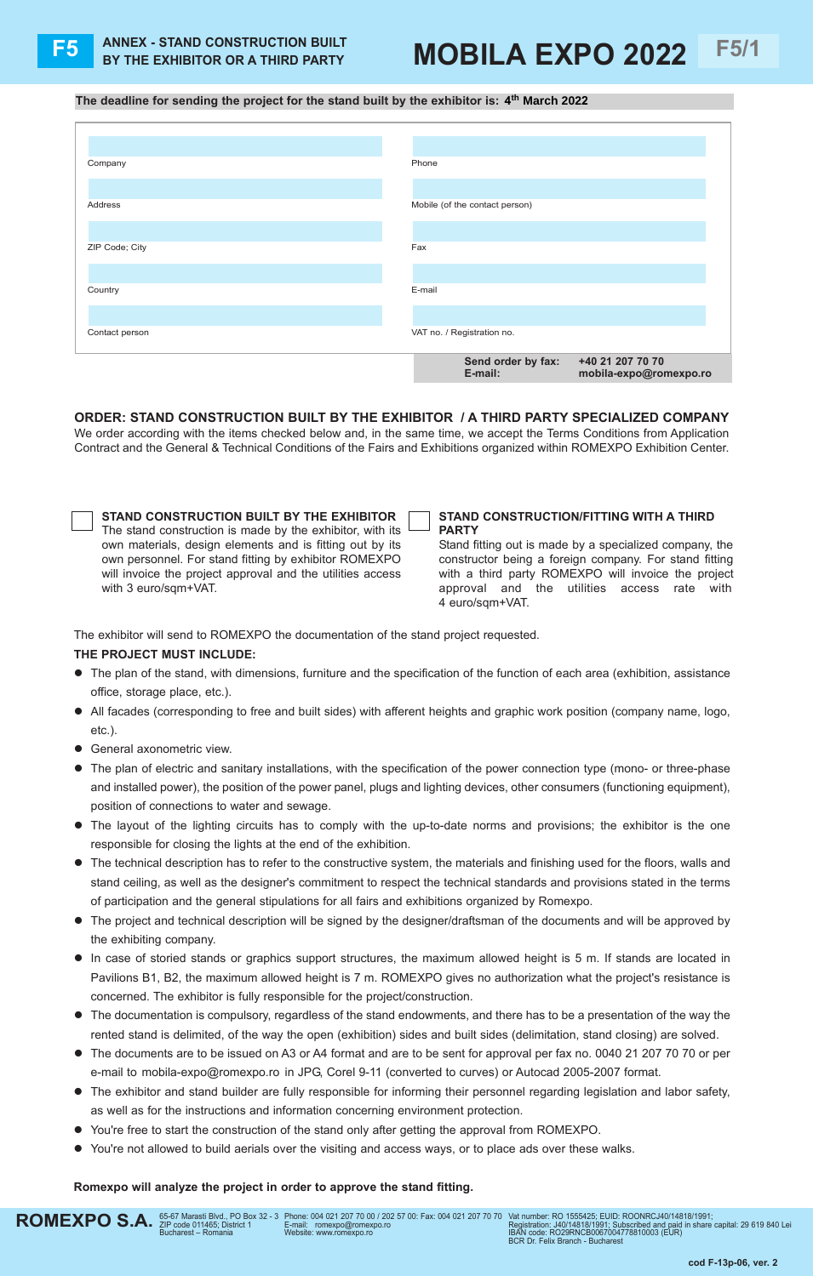## **F5** ANNEX - STAND CONSTRUCTION BUILT MOBILA EXPO 2022 F5/1

**The deadline for sending the project for the stand built by the exhibitor is: 4 th March 2022**

| Company        | Phone                                  |
|----------------|----------------------------------------|
|                |                                        |
| Address        | Mobile (of the contact person)         |
|                |                                        |
| ZIP Code; City | Fax                                    |
|                |                                        |
| Country        | E-mail                                 |
|                |                                        |
| Contact person | VAT no. / Registration no.             |
|                | Send order by fax:<br>+40 21 207 70 70 |
|                | E-mail:<br>mobila-expo@romexpo.ro      |

**ORDER: STAND CONSTRUCTION BUILT BY THE EXHIBITOR / A THIRD PARTY SPECIALIZED COMPANY** We order according with the items checked below and, in the same time, we accept the Terms Conditions from Application Contract and the General & Technical Conditions of the Fairs and Exhibitions organized within ROMEXPO Exhibition Center.

| STAND CONSTRUCTION BUILT BY THE EXHIBITOR                  |
|------------------------------------------------------------|
| The stand construction is made by the exhibitor, with its  |
| own materials, design elements and is fitting out by its   |
| own personnel. For stand fitting by exhibitor ROMEXPO      |
| will invoice the project approval and the utilities access |
| with 3 euro/sqm+VAT.                                       |

## **STAND CONSTRUCTION/FITTING WITH A THIRD PARTY**

Stand fitting out is made by a specialized company, the constructor being a foreign company. For stand fitting with a third party ROMEXPO will invoice the project approval and the utilities access rate with 4 euro/sqm+VAT.

The exhibitor will send to ROMEXPO the documentation of the stand project requested.

## **THE PROJECT MUST INCLUDE:**

- The plan of the stand, with dimensions, furniture and the specification of the function of each area (exhibition, assistance office, storage place, etc.).
- All facades (corresponding to free and built sides) with afferent heights and graphic work position (company name, logo, etc.).
- **•** General axonometric view.
- The plan of electric and sanitary installations, with the specification of the power connection type (mono- or three-phase and installed power), the position of the power panel, plugs and lighting devices, other consumers (functioning equipment), position of connections to water and sewage.
- The layout of the lighting circuits has to comply with the up-to-date norms and provisions; the exhibitor is the one responsible for closing the lights at the end of the exhibition.
- l The technical description has to refer to the constructive system, the materials and finishing used for the floors, walls and stand ceiling, as well as the designer's commitment to respect the technical standards and provisions stated in the terms of participation and the general stipulations for all fairs and exhibitions organized by Romexpo.
- The project and technical description will be signed by the designer/draftsman of the documents and will be approved by the exhibiting company.
- In case of storied stands or graphics support structures, the maximum allowed height is 5 m. If stands are located in Pavilions B1, B2, the maximum allowed height is 7 m. ROMEXPO gives no authorization what the project's resistance is concerned. The exhibitor is fully responsible for the project/construction.
- The documentation is compulsory, regardless of the stand endowments, and there has to be a presentation of the way the rented stand is delimited, of the way the open (exhibition) sides and built sides (delimitation, stand closing) are solved.
- The documents are to be issued on A3 or A4 format and are to be sent for approval per fax no. 0040 21 207 70 70 or per e-mail to mobila-expo@romexpo.ro in JPG, Corel 9-11 (converted to curves) or Autocad 2005-2007 format.
- The exhibitor and stand builder are fully responsible for informing their personnel regarding legislation and labor safety, as well as for the instructions and information concerning environment protection.
- You're free to start the construction of the stand only after getting the approval from ROMEXPO.
- You're not allowed to build aerials over the visiting and access ways, or to place ads over these walks.

## **Romexpo will analyze the project in order to approve the stand fitting.**

phone: 004 021 207 70 00 / 202 57 00: Fax: 004 021 207 70 70 e-mail: romexpo@romexpo.ro Website: www.romexpo.ro